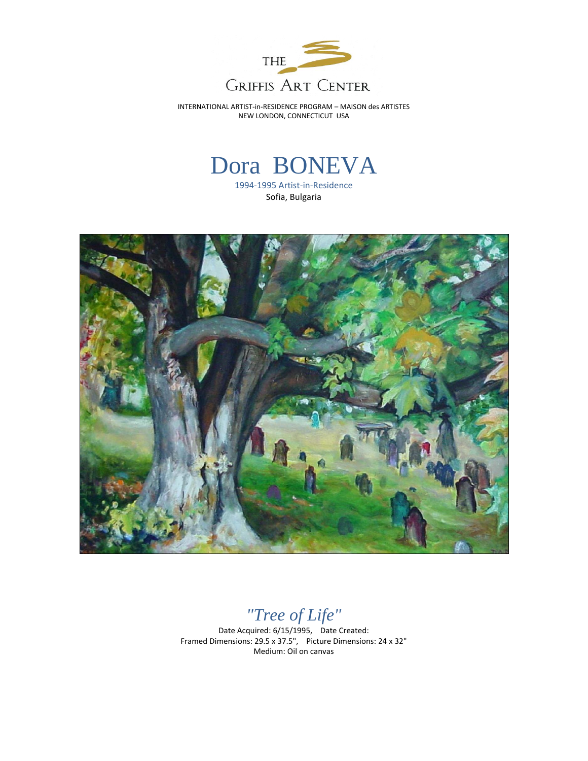

INTERNATIONAL ARTIST-in-RESIDENCE PROGRAM – MAISON des ARTISTES NEW LONDON, CONNECTICUT USA

## Dora BONEVA

1994-1995 Artist-in-Residence Sofia, Bulgaria



*"Tree of Life"*

Date Acquired: 6/15/1995, Date Created: Framed Dimensions: 29.5 x 37.5", Picture Dimensions: 24 x 32" Medium: Oil on canvas